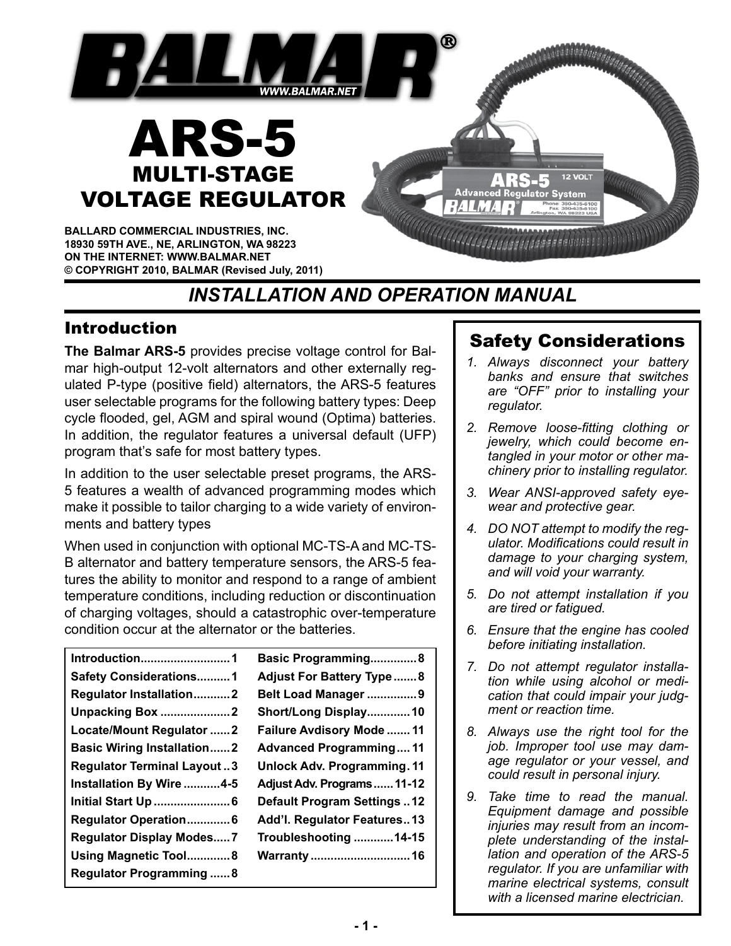

# *INSTALLATION AND OPERATION MANUAL*

## Introduction

**The Balmar ARS-5** provides precise voltage control for Balmar high-output 12-volt alternators and other externally regulated P-type (positive field) alternators, the ARS-5 features user selectable programs for the following battery types: Deep cycle flooded, gel, AGM and spiral wound (Optima) batteries. In addition, the regulator features a universal default (UFP) program that's safe for most battery types.

In addition to the user selectable preset programs, the ARS-5 features a wealth of advanced programming modes which make it possible to tailor charging to a wide variety of environments and battery types

When used in conjunction with optional MC-TS-A and MC-TS-B alternator and battery temperature sensors, the ARS-5 features the ability to monitor and respond to a range of ambient temperature conditions, including reduction or discontinuation of charging voltages, should a catastrophic over-temperature condition occur at the alternator or the batteries.

| Introduction1                     | Basic Programming8                 |
|-----------------------------------|------------------------------------|
| <b>Safety Considerations1</b>     | <b>Adjust For Battery Type8</b>    |
| <b>Regulator Installation2</b>    | Belt Load Manager 9                |
| <b>Unpacking Box 2</b>            | Short/Long Display 10              |
| Locate/Mount Regulator 2          | Failure Avdisory Mode  11          |
| <b>Basic Wiring Installation2</b> | <b>Advanced Programming11</b>      |
| <b>Regulator Terminal Layout3</b> | <b>Unlock Adv. Programming. 11</b> |
| Installation By Wire 4-5          | Adjust Adv. Programs  11-12        |
| <b>Initial Start Up  6</b>        | <b>Default Program Settings12</b>  |
| Regulator Operation 6             | Add'l. Regulator Features13        |
| <b>Regulator Display Modes7</b>   | Troubleshooting 14-15              |
| Using Magnetic Tool8              |                                    |
| <b>Regulator Programming  8</b>   |                                    |

# Safety Considerations

- *1. Always disconnect your battery banks and ensure that switches are "OFF" prior to installing your regulator.*
- *2. Remove loose-fitting clothing or jewelry, which could become entangled in your motor or other machinery prior to installing regulator.*
- *3. Wear ANSI-approved safety eyewear and protective gear.*
- *4. DO NOT attempt to modify the regulator. Modifications could result in damage to your charging system, and will void your warranty.*
- *5. Do not attempt installation if you are tired or fatigued.*
- *6. Ensure that the engine has cooled before initiating installation.*
- *7. Do not attempt regulator installation while using alcohol or medication that could impair your judgment or reaction time.*
- *8. Always use the right tool for the job. Improper tool use may damage regulator or your vessel, and could result in personal injury.*
- *9. Take time to read the manual. Equipment damage and possible injuries may result from an incomplete understanding of the installation and operation of the ARS-5 regulator. If you are unfamiliar with marine electrical systems, consult with a licensed marine electrician.*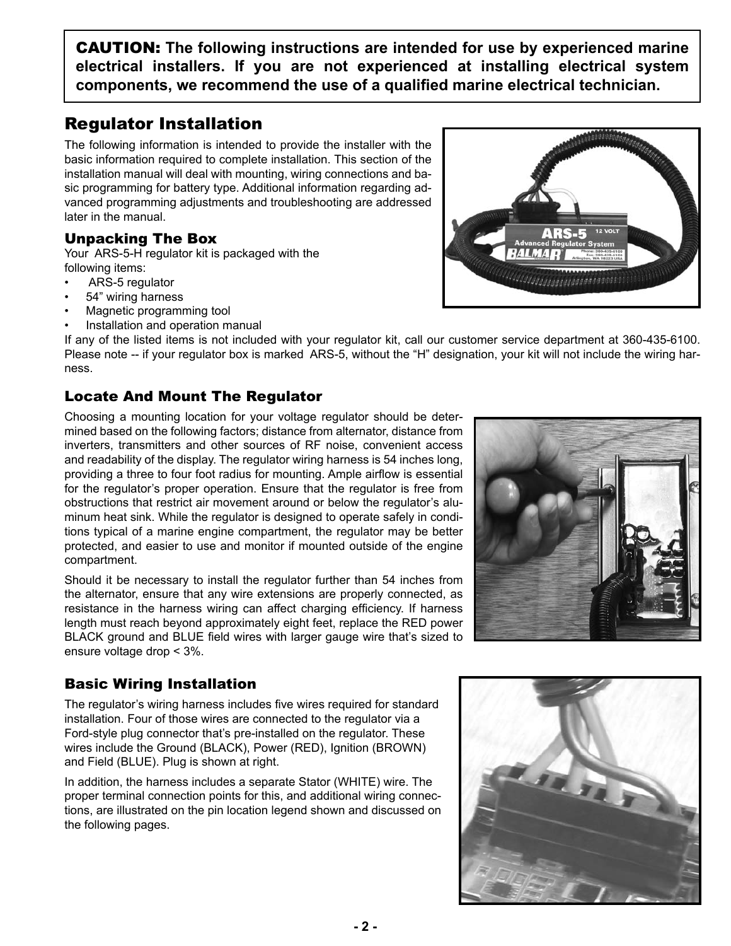CAUTIOn: **The following instructions are intended for use by experienced marine electrical installers. If you are not experienced at installing electrical system components, we recommend the use of a qualified marine electrical technician.**

## Regulator Installation

The following information is intended to provide the installer with the basic information required to complete installation. This section of the installation manual will deal with mounting, wiring connections and basic programming for battery type. Additional information regarding advanced programming adjustments and troubleshooting are addressed later in the manual.

### Unpacking The Box

Your ARS-5-H regulator kit is packaged with the following items:

- ARS-5 regulator
- 54" wiring harness
- Magnetic programming tool
- Installation and operation manual

If any of the listed items is not included with your regulator kit, call our customer service department at 360-435-6100. Please note -- if your regulator box is marked ARS-5, without the "H" designation, your kit will not include the wiring harness.

### Locate And Mount The Regulator

Choosing a mounting location for your voltage regulator should be determined based on the following factors; distance from alternator, distance from inverters, transmitters and other sources of RF noise, convenient access and readability of the display. The regulator wiring harness is 54 inches long, providing a three to four foot radius for mounting. Ample airflow is essential for the regulator's proper operation. Ensure that the regulator is free from obstructions that restrict air movement around or below the regulator's aluminum heat sink. While the regulator is designed to operate safely in conditions typical of a marine engine compartment, the regulator may be better protected, and easier to use and monitor if mounted outside of the engine compartment.

Should it be necessary to install the regulator further than 54 inches from the alternator, ensure that any wire extensions are properly connected, as resistance in the harness wiring can affect charging efficiency. If harness length must reach beyond approximately eight feet, replace the RED power BLACK ground and BLUE field wires with larger gauge wire that's sized to ensure voltage drop < 3%.

## Basic Wiring Installation

The regulator's wiring harness includes five wires required for standard installation. Four of those wires are connected to the regulator via a Ford-style plug connector that's pre-installed on the regulator. These wires include the Ground (BLACK), Power (RED), Ignition (BROWN) and Field (BLUE). Plug is shown at right.

In addition, the harness includes a separate Stator (WHITE) wire. The proper terminal connection points for this, and additional wiring connections, are illustrated on the pin location legend shown and discussed on the following pages.





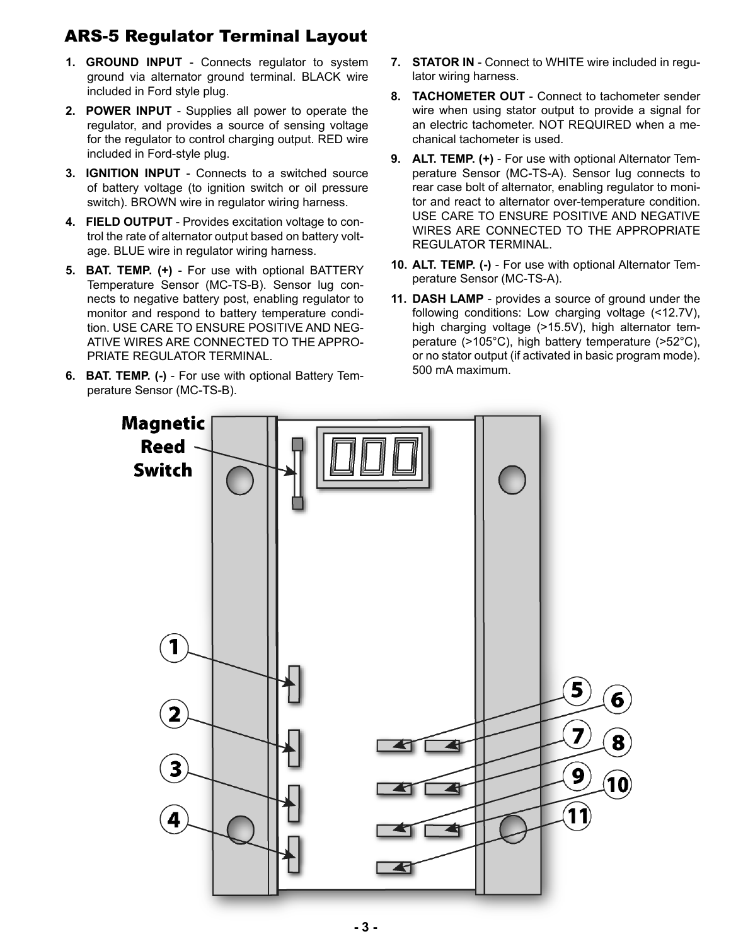## ARS-5 Regulator Terminal Layout

- **1. GROUND INPUT** Connects regulator to system ground via alternator ground terminal. BLACK wire included in Ford style plug.
- **2. POWER INPUT**  Supplies all power to operate the regulator, and provides a source of sensing voltage for the regulator to control charging output. RED wire included in Ford-style plug.
- **3. IGNITION INPUT** Connects to a switched source of battery voltage (to ignition switch or oil pressure switch). BROWN wire in regulator wiring harness.
- **4. FIELD OUTPUT** Provides excitation voltage to control the rate of alternator output based on battery voltage. BLUE wire in regulator wiring harness.
- **5. BAT. TEMP. (+)** For use with optional BATTERY Temperature Sensor (MC-TS-B). Sensor lug connects to negative battery post, enabling regulator to monitor and respond to battery temperature condition. USE CARE TO ENSURE POSITIVE AND NEG-ATIVE WIRES ARE CONNECTED TO THE APPRO-PRIATE REGULATOR TERMINAL.
- **6. BAT. TEMP. (-)** For use with optional Battery Temperature Sensor (MC-TS-B).
- **7. STATOR IN** Connect to WHITE wire included in regulator wiring harness.
- **8. TACHOMETER OUT**  Connect to tachometer sender wire when using stator output to provide a signal for an electric tachometer. NOT REQUIRED when a mechanical tachometer is used.
- **9. ALT. TEMP. (+)** For use with optional Alternator Temperature Sensor (MC-TS-A). Sensor lug connects to rear case bolt of alternator, enabling regulator to monitor and react to alternator over-temperature condition. USE CARE TO ENSURE POSITIVE AND NEGATIVE WIRES ARE CONNECTED TO THE APPROPRIATE REGULATOR TERMINAL.
- **10. ALT. TEMP. (-)** For use with optional Alternator Temperature Sensor (MC-TS-A).
- **11. DASH LAMP** provides a source of ground under the following conditions: Low charging voltage (<12.7V), high charging voltage (>15.5V), high alternator temperature (>105°C), high battery temperature (>52°C), or no stator output (if activated in basic program mode). 500 mA maximum.

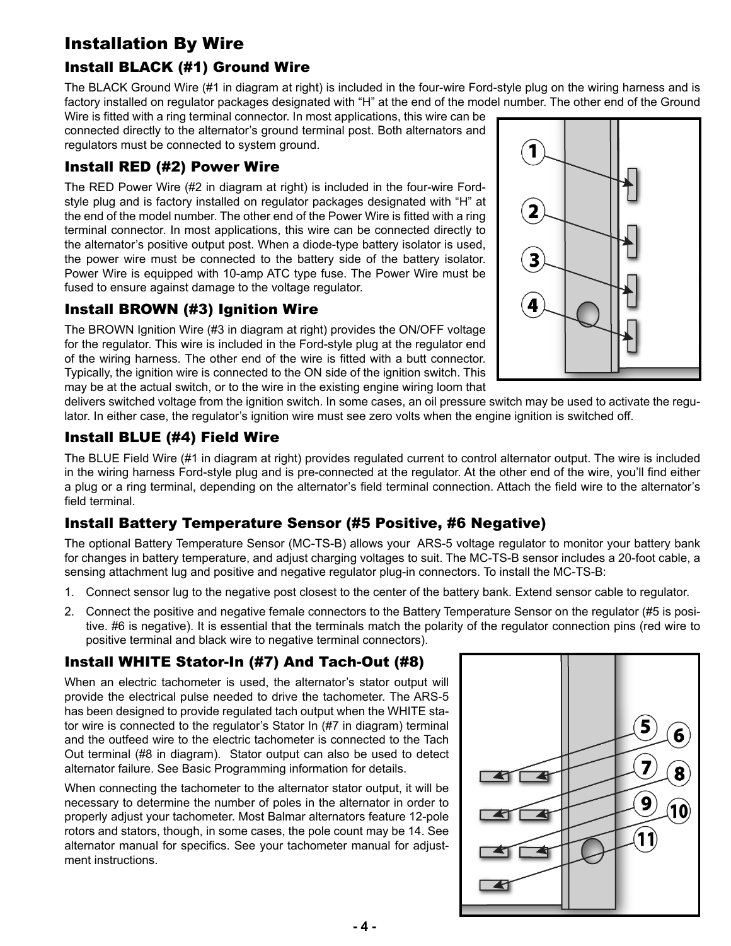# Installation By Wire

## Install BLACK (#1) Ground Wire

The BLACK Ground Wire (#1 in diagram at right) is included in the four-wire Ford-style plug on the wiring harness and is factory installed on regulator packages designated with "H" at the end of the model number. The other end of the Ground

Wire is fitted with a ring terminal connector. In most applications, this wire can be connected directly to the alternator's ground terminal post. Both alternators and regulators must be connected to system ground.

### Install RED (#2) Power Wire

The RED Power Wire (#2 in diagram at right) is included in the four-wire Fordstyle plug and is factory installed on regulator packages designated with "H" at the end of the model number. The other end of the Power Wire is fitted with a ring terminal connector. In most applications, this wire can be connected directly to the alternator's positive output post. When a diode-type battery isolator is used, the power wire must be connected to the battery side of the battery isolator. Power Wire is equipped with 10-amp ATC type fuse. The Power Wire must be fused to ensure against damage to the voltage regulator.

### Install BROWn (#3) Ignition Wire

The BROWN Ignition Wire (#3 in diagram at right) provides the ON/OFF voltage for the regulator. This wire is included in the Ford-style plug at the regulator end of the wiring harness. The other end of the wire is fitted with a butt connector. Typically, the ignition wire is connected to the ON side of the ignition switch. This may be at the actual switch, or to the wire in the existing engine wiring loom that



delivers switched voltage from the ignition switch. In some cases, an oil pressure switch may be used to activate the regulator. In either case, the regulator's ignition wire must see zero volts when the engine ignition is switched off.

### Install BLUE (#4) Field Wire

The BLUE Field Wire (#1 in diagram at right) provides regulated current to control alternator output. The wire is included in the wiring harness Ford-style plug and is pre-connected at the regulator. At the other end of the wire, you'll find either a plug or a ring terminal, depending on the alternator's field terminal connection. Attach the field wire to the alternator's field terminal.

## Install Battery Temperature Sensor (#5 Positive, #6 negative)

The optional Battery Temperature Sensor (MC-TS-B) allows your ARS-5 voltage regulator to monitor your battery bank for changes in battery temperature, and adjust charging voltages to suit. The MC-TS-B sensor includes a 20-foot cable, a sensing attachment lug and positive and negative regulator plug-in connectors. To install the MC-TS-B:

- 1. Connect sensor lug to the negative post closest to the center of the battery bank. Extend sensor cable to regulator.
- 2. Connect the positive and negative female connectors to the Battery Temperature Sensor on the regulator (#5 is positive. #6 is negative). It is essential that the terminals match the polarity of the regulator connection pins (red wire to positive terminal and black wire to negative terminal connectors).

## Install WHITE Stator-In (#7) And Tach-Out (#8)

When an electric tachometer is used, the alternator's stator output will provide the electrical pulse needed to drive the tachometer. The ARS-5 has been designed to provide regulated tach output when the WHITE stator wire is connected to the regulator's Stator In (#7 in diagram) terminal and the outfeed wire to the electric tachometer is connected to the Tach Out terminal (#8 in diagram). Stator output can also be used to detect alternator failure. See Basic Programming information for details.

When connecting the tachometer to the alternator stator output, it will be necessary to determine the number of poles in the alternator in order to properly adjust your tachometer. Most Balmar alternators feature 12-pole rotors and stators, though, in some cases, the pole count may be 14. See alternator manual for specifics. See your tachometer manual for adjustment instructions.

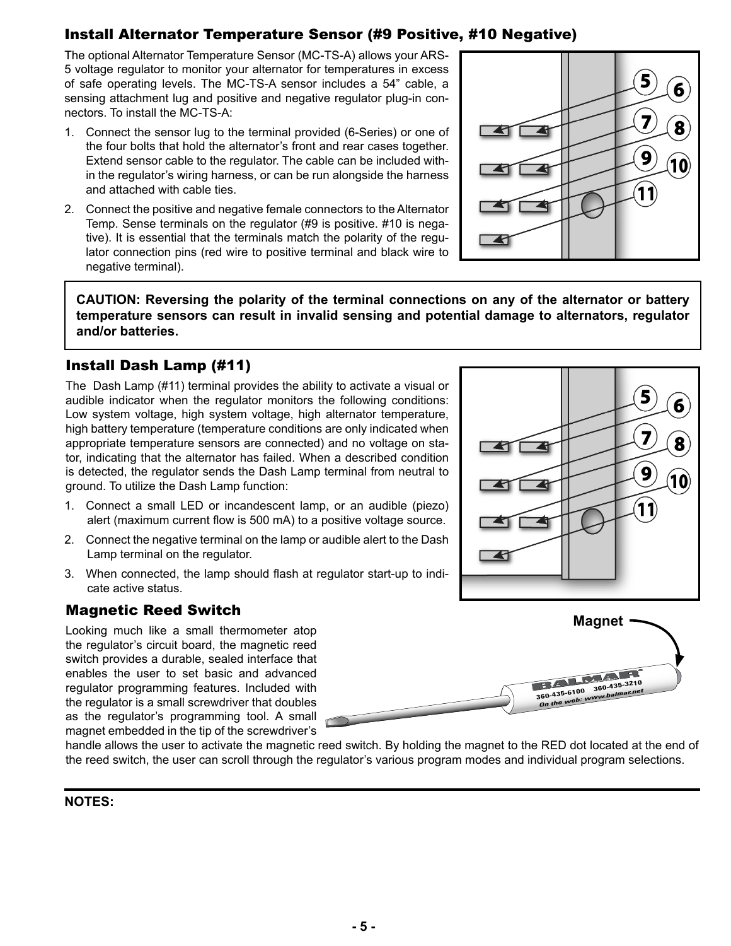## Install Alternator Temperature Sensor (#9 Positive, #10 negative)

The optional Alternator Temperature Sensor (MC-TS-A) allows your ARS-5 voltage regulator to monitor your alternator for temperatures in excess of safe operating levels. The MC-TS-A sensor includes a 54" cable, a sensing attachment lug and positive and negative regulator plug-in connectors. To install the MC-TS-A:

- 1. Connect the sensor lug to the terminal provided (6-Series) or one of the four bolts that hold the alternator's front and rear cases together. Extend sensor cable to the regulator. The cable can be included within the regulator's wiring harness, or can be run alongside the harness and attached with cable ties.
- 2. Connect the positive and negative female connectors to the Alternator Temp. Sense terminals on the regulator (#9 is positive. #10 is negative). It is essential that the terminals match the polarity of the regulator connection pins (red wire to positive terminal and black wire to negative terminal).



5

7

9

6

8

10

**CAUTION: Reversing the polarity of the terminal connections on any of the alternator or battery temperature sensors can result in invalid sensing and potential damage to alternators, regulator and/or batteries.**

### Install Dash Lamp (#11)

The Dash Lamp (#11) terminal provides the ability to activate a visual or audible indicator when the regulator monitors the following conditions: Low system voltage, high system voltage, high alternator temperature, high battery temperature (temperature conditions are only indicated when appropriate temperature sensors are connected) and no voltage on stator, indicating that the alternator has failed. When a described condition is detected, the regulator sends the Dash Lamp terminal from neutral to ground. To utilize the Dash Lamp function:

- 1. Connect a small LED or incandescent lamp, or an audible (piezo) alert (maximum current flow is 500 mA) to a positive voltage source.
- 2. Connect the negative terminal on the lamp or audible alert to the Dash Lamp terminal on the regulator.
- 3. When connected, the lamp should flash at regulator start-up to indicate active status.

### Magnetic Reed Switch

Looking much like a small thermometer atop the regulator's circuit board, the magnetic reed switch provides a durable, sealed interface that enables the user to set basic and advanced regulator programming features. Included with the regulator is a small screwdriver that doubles as the regulator's programming tool. A small magnet embedded in the tip of the screwdriver's



78

handle allows the user to activate the magnetic reed switch. By holding the magnet to the RED dot located at the end of the reed switch, the user can scroll through the regulator's various program modes and individual program selections.

#### **NOTES:**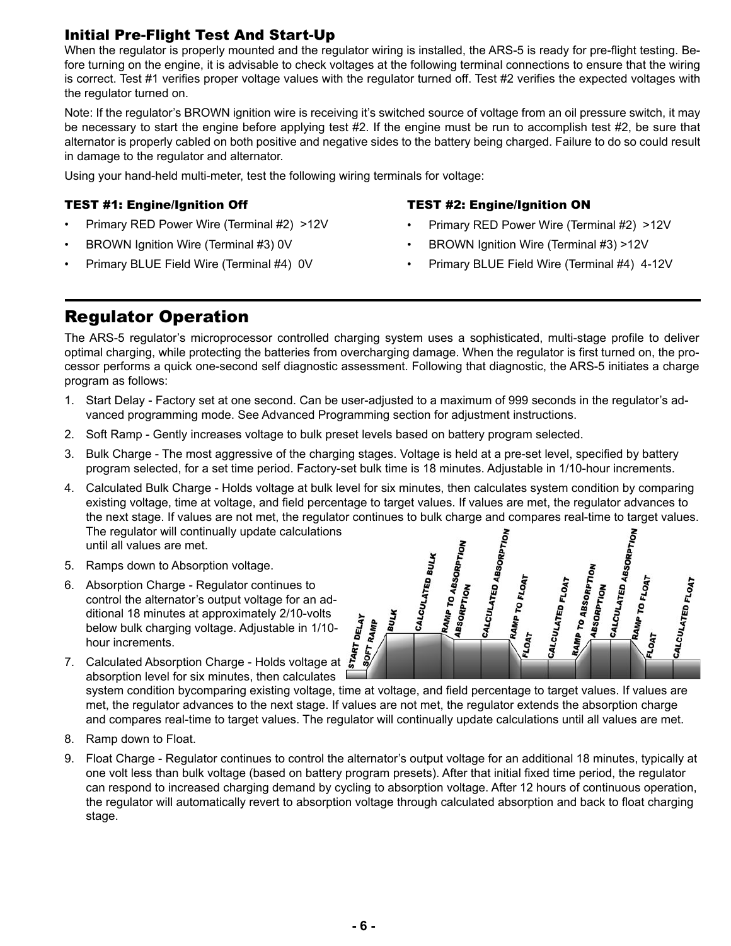### Initial Pre-Flight Test And Start-Up

When the regulator is properly mounted and the regulator wiring is installed, the ARS-5 is ready for pre-flight testing. Before turning on the engine, it is advisable to check voltages at the following terminal connections to ensure that the wiring is correct. Test #1 verifies proper voltage values with the regulator turned off. Test #2 verifies the expected voltages with the regulator turned on.

Note: If the regulator's BROWN ignition wire is receiving it's switched source of voltage from an oil pressure switch, it may be necessary to start the engine before applying test #2. If the engine must be run to accomplish test #2, be sure that alternator is properly cabled on both positive and negative sides to the battery being charged. Failure to do so could result in damage to the regulator and alternator.

Using your hand-held multi-meter, test the following wiring terminals for voltage:

#### TEST #1: Engine/Ignition Off

- Primary RED Power Wire (Terminal #2) >12V
- BROWN Ignition Wire (Terminal #3) 0V
- Primary BLUE Field Wire (Terminal #4) 0V

#### TEST #2: Engine/Ignition On

- Primary RED Power Wire (Terminal #2) >12V
- BROWN Ignition Wire (Terminal #3) >12V
- Primary BLUE Field Wire (Terminal #4) 4-12V

## Regulator Operation

The ARS-5 regulator's microprocessor controlled charging system uses a sophisticated, multi-stage profile to deliver optimal charging, while protecting the batteries from overcharging damage. When the regulator is first turned on, the processor performs a quick one-second self diagnostic assessment. Following that diagnostic, the ARS-5 initiates a charge program as follows:

- 1. Start Delay Factory set at one second. Can be user-adjusted to a maximum of 999 seconds in the regulator's advanced programming mode. See Advanced Programming section for adjustment instructions.
- 2. Soft Ramp Gently increases voltage to bulk preset levels based on battery program selected.
- 3. Bulk Charge The most aggressive of the charging stages. Voltage is held at a pre-set level, specified by battery program selected, for a set time period. Factory-set bulk time is 18 minutes. Adjustable in 1/10-hour increments.
- 4. Calculated Bulk Charge Holds voltage at bulk level for six minutes, then calculates system condition by comparing existing voltage, time at voltage, and field percentage to target values. If values are met, the regulator advances to the next stage. If values are not met, the regulator continues to bulk charge and compares real-time to target values. The regulator will continually update calculations until all values are met.
- 5. Ramps down to Absorption voltage.
- 6. Absorption Charge Regulator continues to control the alternator's output voltage for an additional 18 minutes at approximately 2/10-volts below bulk charging voltage. Adjustable in 1/10 hour increments.
- CALCULATED ABSORPTION<br>RAMP TO CALCULATED ABSORPTION<br>CALCULATED ABSORPTION RAMP TO ABSORPTION<br>ABSORPTION CALCULATED BULK **RAMP TO ABSORPTION**<br>ABSORPTION RAMP TO FLOAT<br>14T **FRAMP TO FLOAT** CALCULATED FLOAT CALCULATED FLOAT **ABSORPTION Hason Charles BULK DELAY** SOFT RAMP LOAT
- لَّمِ<br>7. Calculated Absorption Charge Holds voltage at & absorption level for six minutes, then calculates

system condition bycomparing existing voltage, time at voltage, and field percentage to target values. If values are met, the regulator advances to the next stage. If values are not met, the regulator extends the absorption charge and compares real-time to target values. The regulator will continually update calculations until all values are met.

- 8. Ramp down to Float.
- 9. Float Charge Regulator continues to control the alternator's output voltage for an additional 18 minutes, typically at one volt less than bulk voltage (based on battery program presets). After that initial fixed time period, the regulator can respond to increased charging demand by cycling to absorption voltage. After 12 hours of continuous operation, the regulator will automatically revert to absorption voltage through calculated absorption and back to float charging stage.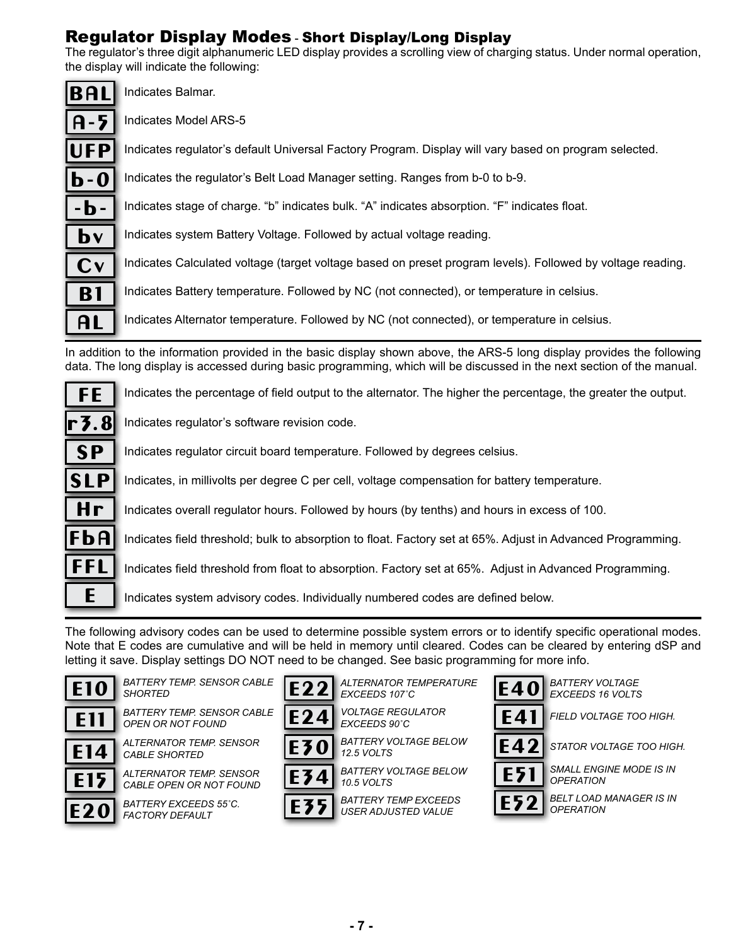## Regulator Display Modes - Short Display/Long Display

The regulator's three digit alphanumeric LED display provides a scrolling view of charging status. Under normal operation, the display will indicate the following:

| <b>BAL</b>                  | Indicates Balmar.                                                                                          |
|-----------------------------|------------------------------------------------------------------------------------------------------------|
| $A - 5$                     | Indicates Model ARS-5                                                                                      |
| <b>UFP</b>                  | Indicates regulator's default Universal Factory Program. Display will vary based on program selected.      |
| $\mathbf{b}$ - $\mathbf{0}$ | Indicates the regulator's Belt Load Manager setting. Ranges from b-0 to b-9.                               |
| $-b -$                      | Indicates stage of charge. "b" indicates bulk. "A" indicates absorption. "F" indicates float.              |
| $\mathbf{b}$                | Indicates system Battery Voltage. Followed by actual voltage reading.                                      |
| Cv                          | Indicates Calculated voltage (target voltage based on preset program levels). Followed by voltage reading. |
| <b>B1</b>                   | Indicates Battery temperature. Followed by NC (not connected), or temperature in celsius.                  |
| AL                          | Indicates Alternator temperature. Followed by NC (not connected), or temperature in celsius.               |

In addition to the information provided in the basic display shown above, the ARS-5 long display provides the following data. The long display is accessed during basic programming, which will be discussed in the next section of the manual.

Indicates the percentage of field output to the alternator. The higher the percentage, the greater the output.



Indicates regulator circuit board temperature. Followed by degrees celsius.

Indicates, in millivolts per degree C per cell, voltage compensation for battery temperature.

Indicates overall regulator hours. Followed by hours (by tenths) and hours in excess of 100.

Indicates field threshold; bulk to absorption to float. Factory set at 65%. Adjust in Advanced Programming.

Indicates field threshold from float to absorption. Factory set at 65%. Adjust in Advanced Programming.

Indicates system advisory codes. Individually numbered codes are defined below.

The following advisory codes can be used to determine possible system errors or to identify specific operational modes. Note that E codes are cumulative and will be held in memory until cleared. Codes can be cleared by entering dSP and letting it save. Display settings DO NOT need to be changed. See basic programming for more info.

*EXCEEDS 107˚C*



E14

E15

**FE** 

H r

FbA

FFL

E

S P

SLP

 $E10$  BATTERY TEMP. SENSOR CABLE  $E22$  *ALTERNATOR TEMPERATURE*  $E40$ *SHORTED*

*BATTERY TEMP. SENSOR CABLE*  E11

*CABLE SHORTED*

*OPEN OR NOT FOUND ALTERNATOR TEMP. SENSOR* 

*ALTERNATOR TEMP. SENSOR CABLE OPEN OR NOT FOUND BATTERY EXCEEDS 55˚C.*



*VOLTAGE REGULATOR EXCEEDS 90˚C*

*ALTERNATOR TEMPERATURE* 

*BATTERY VOLTAGE BELOW 12.5 VOLTS*



E24

E22

*BATTERY VOLTAGE BELOW* 

*BATTERY TEMP EXCEEDS USER ADJUSTED VALUE*

*BATTERY VOLTAGE* 





*EXCEEDS 16 VOLTS*



*FIELD VOLTAGE TOO HIGH.*



*STATOR VOLTAGE TOO HIGH.*



*SMALL ENGINE MODE IS IN OPERATION*

*BELT LOAD MANAGER IS IN OPERATION*





 $E20$  *BATTERY EXCEEDS 55°C.*  $E35$ *10.5 VOLTS*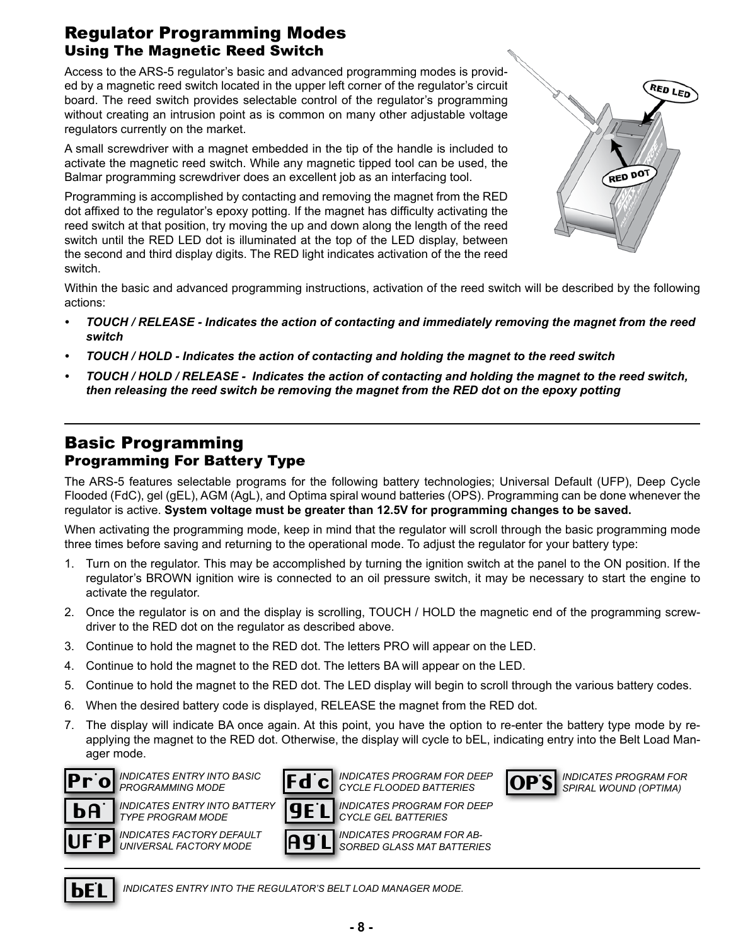## Regulator Programming Modes Using The Magnetic Reed Switch

Access to the ARS-5 regulator's basic and advanced programming modes is provided by a magnetic reed switch located in the upper left corner of the regulator's circuit board. The reed switch provides selectable control of the regulator's programming without creating an intrusion point as is common on many other adjustable voltage regulators currently on the market.

A small screwdriver with a magnet embedded in the tip of the handle is included to activate the magnetic reed switch. While any magnetic tipped tool can be used, the Balmar programming screwdriver does an excellent job as an interfacing tool.

Programming is accomplished by contacting and removing the magnet from the RED dot affixed to the regulator's epoxy potting. If the magnet has difficulty activating the reed switch at that position, try moving the up and down along the length of the reed switch until the RED LED dot is illuminated at the top of the LED display, between the second and third display digits. The RED light indicates activation of the the reed switch.



Within the basic and advanced programming instructions, activation of the reed switch will be described by the following actions:

- *• TOUCH / RELEASE Indicates the action of contacting and immediately removing the magnet from the reed switch*
- *• TOUCH / HOLD Indicates the action of contacting and holding the magnet to the reed switch*
- *• TOUCH / HOLD / RELEASE Indicates the action of contacting and holding the magnet to the reed switch, then releasing the reed switch be removing the magnet from the RED dot on the epoxy potting*

## Basic Programming Programming For Battery Type

The ARS-5 features selectable programs for the following battery technologies; Universal Default (UFP), Deep Cycle Flooded (FdC), gel (gEL), AGM (AgL), and Optima spiral wound batteries (OPS). Programming can be done whenever the regulator is active. **System voltage must be greater than 12.5V for programming changes to be saved.**

When activating the programming mode, keep in mind that the regulator will scroll through the basic programming mode three times before saving and returning to the operational mode. To adjust the regulator for your battery type:

- 1. Turn on the regulator. This may be accomplished by turning the ignition switch at the panel to the ON position. If the regulator's BROWN ignition wire is connected to an oil pressure switch, it may be necessary to start the engine to activate the regulator.
- 2. Once the regulator is on and the display is scrolling, TOUCH / HOLD the magnetic end of the programming screwdriver to the RED dot on the regulator as described above.
- 3. Continue to hold the magnet to the RED dot. The letters PRO will appear on the LED.
- 4. Continue to hold the magnet to the RED dot. The letters BA will appear on the LED.
- 5. Continue to hold the magnet to the RED dot. The LED display will begin to scroll through the various battery codes.
- 6. When the desired battery code is displayed, RELEASE the magnet from the RED dot.
- 7. The display will indicate BA once again. At this point, you have the option to re-enter the battery type mode by reapplying the magnet to the RED dot. Otherwise, the display will cycle to bEL, indicating entry into the Belt Load Manager mode.



*INDICATES ENTRY INTO BASIC PROGRAMMING MODE*

*INDICATES ENTRY INTO BATTERY* 



*INDICATES PROGRAM FOR DEEP CYCLE FLOODED BATTERIES* 



*INDICATES PROGRAM FOR SPIRAL WOUND (OPTIMA)*

UF. P *TYPE PROGRAM MODE INDICATES FACTORY DEFAULT UNIVERSAL FACTORY MODE*



*INDICATES PROGRAM FOR AB-SORBED GLASS MAT BATTERIES*



*INDICATES ENTRY INTO THE REGULATOR'S BELT LOAD MANAGER MODE.*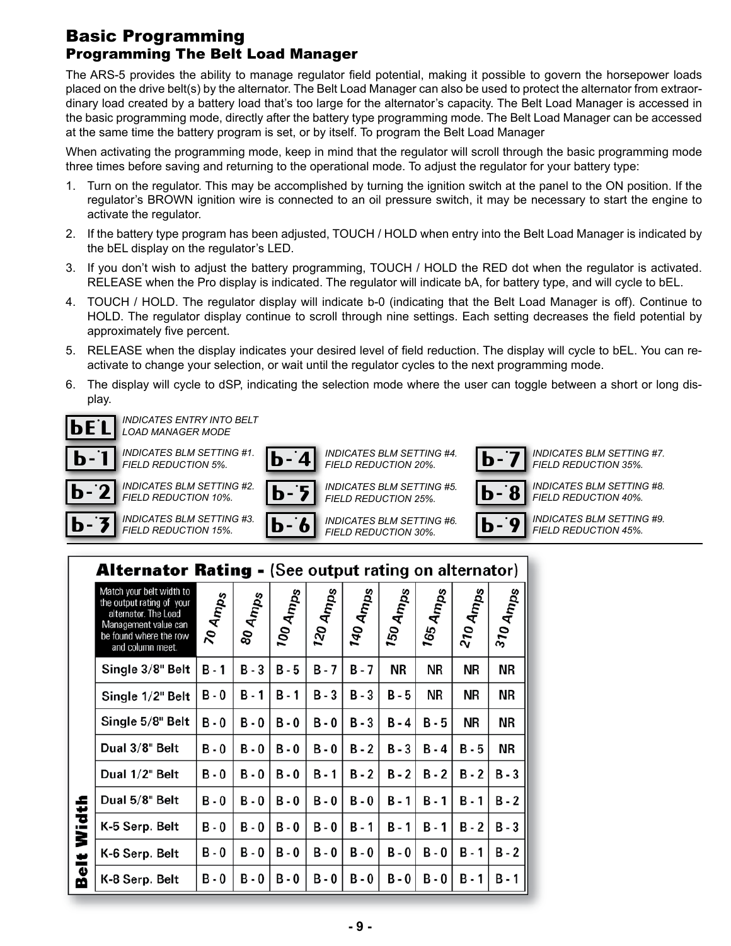## Basic Programming Programming The Belt Load Manager

The ARS-5 provides the ability to manage regulator field potential, making it possible to govern the horsepower loads placed on the drive belt(s) by the alternator. The Belt Load Manager can also be used to protect the alternator from extraordinary load created by a battery load that's too large for the alternator's capacity. The Belt Load Manager is accessed in the basic programming mode, directly after the battery type programming mode. The Belt Load Manager can be accessed at the same time the battery program is set, or by itself. To program the Belt Load Manager

When activating the programming mode, keep in mind that the regulator will scroll through the basic programming mode three times before saving and returning to the operational mode. To adjust the regulator for your battery type:

- 1. Turn on the regulator. This may be accomplished by turning the ignition switch at the panel to the ON position. If the regulator's BROWN ignition wire is connected to an oil pressure switch, it may be necessary to start the engine to activate the regulator.
- 2. If the battery type program has been adjusted, TOUCH / HOLD when entry into the Belt Load Manager is indicated by the bEL display on the regulator's LED.
- 3. If you don't wish to adjust the battery programming, TOUCH / HOLD the RED dot when the regulator is activated. RELEASE when the Pro display is indicated. The regulator will indicate bA, for battery type, and will cycle to bEL.
- 4. TOUCH / HOLD. The regulator display will indicate b-0 (indicating that the Belt Load Manager is off). Continue to HOLD. The regulator display continue to scroll through nine settings. Each setting decreases the field potential by approximately five percent.
- 5. RELEASE when the display indicates your desired level of field reduction. The display will cycle to bEL. You can reactivate to change your selection, or wait until the regulator cycles to the next programming mode.
- 6. The display will cycle to dSP, indicating the selection mode where the user can toggle between a short or long display.



 $\overline{\mathbf{p}^{\mathbf{-}}}$ 

 $\overline{\mathbf{p}^{\mathbf{-}}}$ 

 $2$  INDICATES BLM SETTING #2.  $\boxed{b}$ *FIELD REDUCTION 10%.*



*FIELD REDUCTION 25%.*



*FIELD REDUCTION 40%.*

 $\overline{\mathbf{3}}$  INDICATES BLM SETTING #3.  $\boxed{\mathbf{b}}$  -*FIELD REDUCTION 15%.*

 $\overline{\textbf{6}}$  INDICATES BLM SETTING #6.  $\overline{\textbf{b}}$  -*FIELD REDUCTION 30%.*

<u>9</u>

*INDICATES BLM SETTING #9. FIELD REDUCTION 45%.*

|            | <b>Alternator Rating - (See output rating on alternator)</b>                                                                                        |            |              |                     |                    |          |           |                      |           |                     |  |
|------------|-----------------------------------------------------------------------------------------------------------------------------------------------------|------------|--------------|---------------------|--------------------|----------|-----------|----------------------|-----------|---------------------|--|
|            | Match your belt width to<br>the output rating of your<br>alternator. The Load<br>Management value can<br>be found where the row<br>and column meet. | 70 Amps    | 80 Amps      | <sup>100 Amps</sup> | 120A <sub>mp</sub> | 140 Amps | 150 Amps  | 165 Am <sub>ps</sub> | 210 Amps  | <sup>310 Amps</sup> |  |
|            | Single 3/8" Belt                                                                                                                                    | $B - 1$    | $B - 3$      | $B - 5$             | B-7                | B - 7    | <b>NR</b> | <b>NR</b>            | NR        | <b>NR</b>           |  |
|            | Single 1/2" Belt                                                                                                                                    | B-0        | <b>B</b> - 1 | $B - 1$             | $B - 3$            | $B - 3$  | B - 5     | <b>NR</b>            | <b>NR</b> | ΝR                  |  |
|            | Single 5/8" Belt                                                                                                                                    | $B - 0$    | $B - 0$      | $B - 0$             | $B - 0$            | $B - 3$  | B - 4     | $B - 5$              | NR        | NR                  |  |
|            | Dual 3/8" Belt                                                                                                                                      | <b>B-0</b> | <b>B-0</b>   | $B - 0$             | B-0                | B - 2    | B - 3     | B - 4                | B - 5     | NR                  |  |
|            | Dual 1/2" Belt                                                                                                                                      | B-0        | B-0          | <b>B-0</b>          | B - 1              | $B - 2$  | $B - 2$   | $B - 2$              | $B - 2$   | $B - 3$             |  |
|            | Dual 5/8" Belt                                                                                                                                      | B-0        | B-0          | $B - 0$             | B-0                | B - 0    | $B - 1$   | B - 1                | B-1       | $B - 2$             |  |
| Width      | K-5 Serp. Belt                                                                                                                                      | $B - 0$    | B-0          | $B - 0$             | $B - 0$            | B - 1    | $B - 1$   | B - 1                | $B - 2$   | $B - 3$             |  |
| ÷,         | K-6 Serp. Belt                                                                                                                                      | $B - 0$    | $B - 0$      | $B - 0$             | <b>B-0</b>         | B - 0    | B - 0     | B - 0                | B-1       | $B - 2$             |  |
| <u>ଚିଚ</u> | K-8 Serp. Belt                                                                                                                                      | <b>B-0</b> | B - 0        | $B - 0$             | B - 0              | B - 0    | B - 0     | B - 0                | B - 1     | B-1                 |  |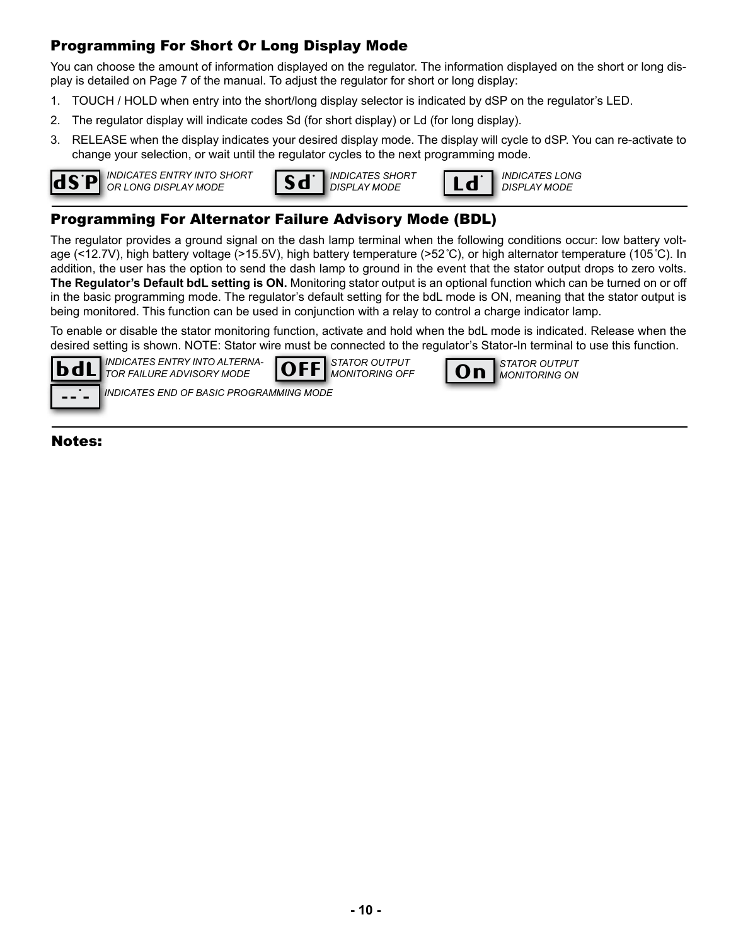### Programming For Short Or Long Display Mode

You can choose the amount of information displayed on the regulator. The information displayed on the short or long display is detailed on Page 7 of the manual. To adjust the regulator for short or long display:

- 1. TOUCH / HOLD when entry into the short/long display selector is indicated by dSP on the regulator's LED.
- 2. The regulator display will indicate codes Sd (for short display) or Ld (for long display).
- 3. RELEASE when the display indicates your desired display mode. The display will cycle to dSP. You can re-activate to change your selection, or wait until the regulator cycles to the next programming mode.



*INDICATES ENTRY INTO SHORT*  **OR LONG DISPLAY MODE** *OR LONG DISPLAY MODE DISPLAY MODE DISPLAY MODE DISPLAY MODE* 



Ld.

### Programming For Alternator Failure Advisory Mode (BDL)

The regulator provides a ground signal on the dash lamp terminal when the following conditions occur: low battery voltage (<12.7V), high battery voltage (>15.5V), high battery temperature (>52*˚*C), or high alternator temperature (105*˚*C). In addition, the user has the option to send the dash lamp to ground in the event that the stator output drops to zero volts. **The Regulator's Default bdL setting is ON.** Monitoring stator output is an optional function which can be turned on or off in the basic programming mode. The regulator's default setting for the bdL mode is ON, meaning that the stator output is being monitored. This function can be used in conjunction with a relay to control a charge indicator lamp.

To enable or disable the stator monitoring function, activate and hold when the bdL mode is indicated. Release when the desired setting is shown. NOTE: Stator wire must be connected to the regulator's Stator-In terminal to use this function.



*INDICATES ENTRY INTO ALTERNA-*



*STATOR OUTPUT MONITORING OFF*



*INDICATES END OF BASIC PROGRAMMING MODE*

**Notes:**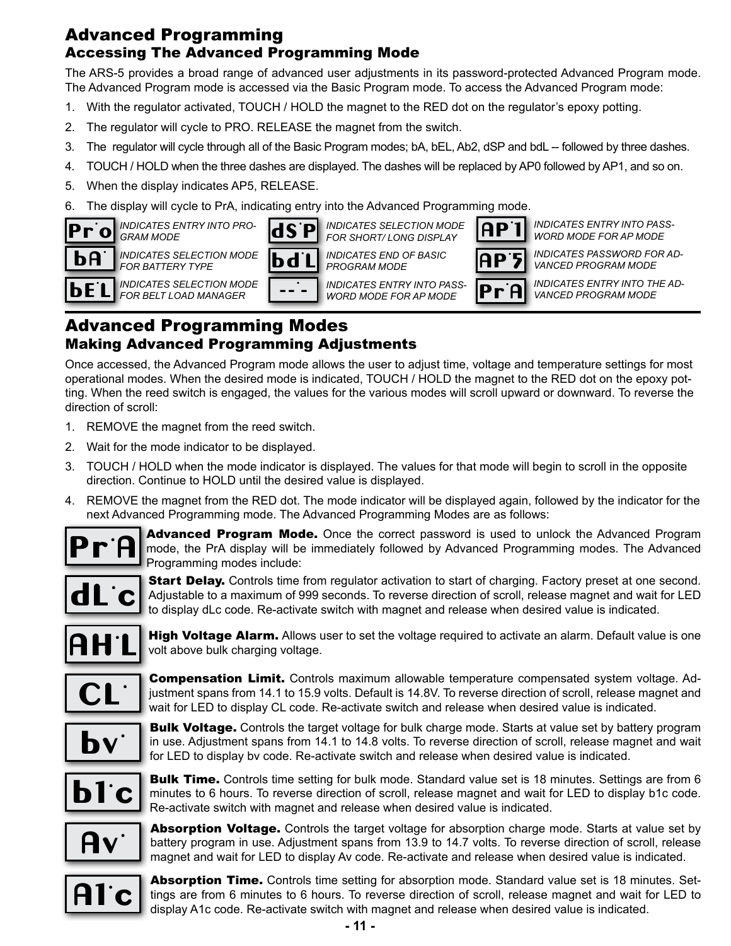## Advanced Programming Accessing The Advanced Programming Mode

The ARS-5 provides a broad range of advanced user adjustments in its password-protected Advanced Program mode. The Advanced Program mode is accessed via the Basic Program mode. To access the Advanced Program mode:

- 1. With the regulator activated, TOUCH / HOLD the magnet to the RED dot on the regulator's epoxy potting.
- 2. The regulator will cycle to PRO. RELEASE the magnet from the switch.
- 3. The regulator will cycle through all of the Basic Program modes; bA, bEL, Ab2, dSP and bdL -- followed by three dashes.
- 4. TOUCH / HOLD when the three dashes are displayed. The dashes will be replaced by AP0 followed by AP1, and so on.
- 5. When the display indicates AP5, RELEASE.
- 6. The display will cycle to PrA, indicating entry into the Advanced Programming mode.



*INDICATES ENTRY INTO PRO-GRAM MODE*

*FOR BATTERY TYPE*



*INDICATES SELECTION MODE FOR SHORT/ LONG DISPLAY INDICATES END OF BASIC* 

*PROGRAM MODE INDICATES ENTRY INTO PASS-*

**L** INDICATES SELECTION MODE  $\begin{bmatrix} - & - & \cdot \\ \cdot & - & - \end{bmatrix}$  INDICATES ENTRY INTO PASS- **Pr** *WORD MODE FOR AP MODE*

AP. 5 AP. <u>|</u>

<u>A</u>

*INDICATES ENTRY INTO PASS-WORD MODE FOR AP MODE* 

*INDICATES PASSWORD FOR AD-VANCED PROGRAM MODE*

*INDICATES ENTRY INTO THE AD-VANCED PROGRAM MODE*

## Advanced Programming Modes Making Advanced Programming Adjustments

Once accessed, the Advanced Program mode allows the user to adjust time, voltage and temperature settings for most operational modes. When the desired mode is indicated, TOUCH / HOLD the magnet to the RED dot on the epoxy potting. When the reed switch is engaged, the values for the various modes will scroll upward or downward. To reverse the direction of scroll:

- 1. REMOVE the magnet from the reed switch.
- 2. Wait for the mode indicator to be displayed.
- 3. TOUCH / HOLD when the mode indicator is displayed. The values for that mode will begin to scroll in the opposite direction. Continue to HOLD until the desired value is displayed.
- 4. REMOVE the magnet from the RED dot. The mode indicator will be displayed again, followed by the indicator for the next Advanced Programming mode. The Advanced Programming Modes are as follows:



Advanced Program Mode. Once the correct password is used to unlock the Advanced Program mode, the PrA display will be immediately followed by Advanced Programming modes. The Advanced Programming modes include:



Start Delay. Controls time from regulator activation to start of charging. Factory preset at one second. Adjustable to a maximum of 999 seconds. To reverse direction of scroll, release magnet and wait for LED to display dLc code. Re-activate switch with magnet and release when desired value is indicated.



**High Voltage Alarm.** Allows user to set the voltage required to activate an alarm. Default value is one volt above bulk charging voltage.



**Compensation Limit.** Controls maximum allowable temperature compensated system voltage. Adjustment spans from 14.1 to 15.9 volts. Default is 14.8V. To reverse direction of scroll, release magnet and wait for LED to display CL code. Re-activate switch and release when desired value is indicated.



**Bulk Voltage.** Controls the target voltage for bulk charge mode. Starts at value set by battery program in use. Adjustment spans from 14.1 to 14.8 volts. To reverse direction of scroll, release magnet and wait for LED to display bv code. Re-activate switch and release when desired value is indicated.



**Bulk Time.** Controls time setting for bulk mode. Standard value set is 18 minutes. Settings are from 6 minutes to 6 hours. To reverse direction of scroll, release magnet and wait for LED to display b1c code. Re-activate switch with magnet and release when desired value is indicated.



Absorption Voltage. Controls the target voltage for absorption charge mode. Starts at value set by battery program in use. Adjustment spans from 13.9 to 14.7 volts. To reverse direction of scroll, release magnet and wait for LED to display Av code. Re-activate and release when desired value is indicated.



Absorption Time. Controls time setting for absorption mode. Standard value set is 18 minutes. Settings are from 6 minutes to 6 hours. To reverse direction of scroll, release magnet and wait for LED to display A1c code. Re-activate switch with magnet and release when desired value is indicated.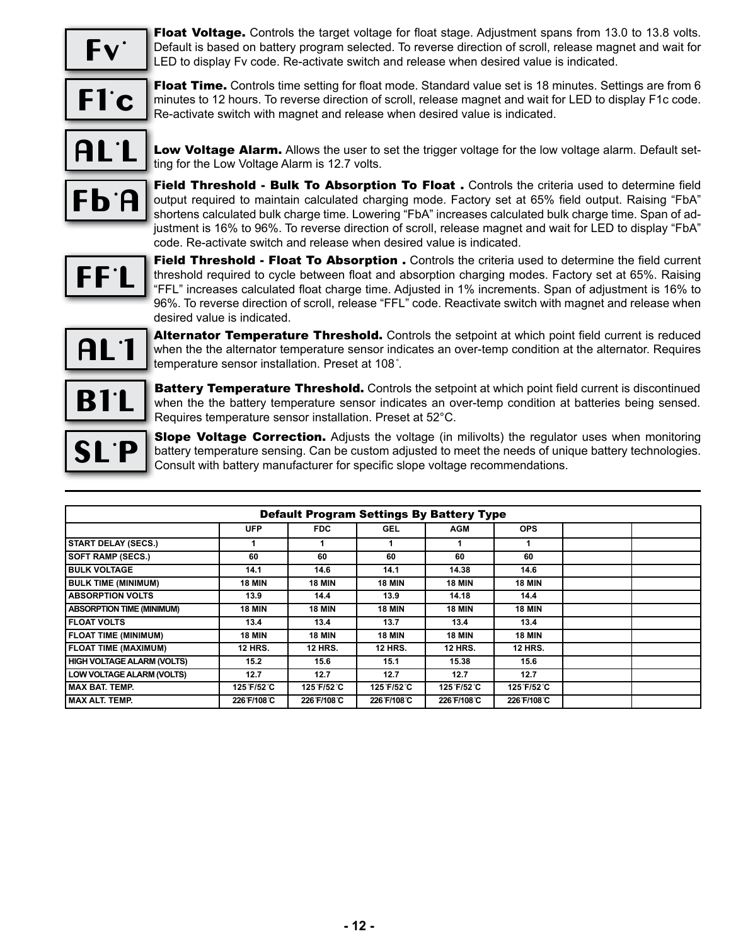

Float Voltage. Controls the target voltage for float stage. Adjustment spans from 13.0 to 13.8 volts. Default is based on battery program selected. To reverse direction of scroll, release magnet and wait for LED to display Fv code. Re-activate switch and release when desired value is indicated.

$$
\overline{\text{FI}'\text{c}}
$$

Float Time. Controls time setting for float mode. Standard value set is 18 minutes. Settings are from 6 minutes to 12 hours. To reverse direction of scroll, release magnet and wait for LED to display F1c code. Re-activate switch with magnet and release when desired value is indicated.

$$
\underline{\textbf{AL}^{\cdot}\textbf{L}}
$$

Low Voltage Alarm. Allows the user to set the trigger voltage for the low voltage alarm. Default setting for the Low Voltage Alarm is 12.7 volts.



**Field Threshold - Bulk To Absorption To Float.** Controls the criteria used to determine field output required to maintain calculated charging mode. Factory set at 65% field output. Raising "FbA" shortens calculated bulk charge time. Lowering "FbA" increases calculated bulk charge time. Span of adjustment is 16% to 96%. To reverse direction of scroll, release magnet and wait for LED to display "FbA" code. Re-activate switch and release when desired value is indicated.

$$
\boxed{\text{FFL}}
$$

**Field Threshold - Float To Absorption .** Controls the criteria used to determine the field current threshold required to cycle between float and absorption charging modes. Factory set at 65%. Raising "FFL" increases calculated float charge time. Adjusted in 1% increments. Span of adjustment is 16% to 96%. To reverse direction of scroll, release "FFL" code. Reactivate switch with magnet and release when desired value is indicated.



Alternator Temperature Threshold. Controls the setpoint at which point field current is reduced when the the alternator temperature sensor indicates an over-temp condition at the alternator. Requires temperature sensor installation. Preset at 108*˚*.

B 1. L

**Battery Temperature Threshold.** Controls the setpoint at which point field current is discontinued when the the battery temperature sensor indicates an over-temp condition at batteries being sensed. Requires temperature sensor installation. Preset at 52°C.



**Slope Voltage Correction.** Adjusts the voltage (in milivolts) the regulator uses when monitoring battery temperature sensing. Can be custom adjusted to meet the needs of unique battery technologies. Consult with battery manufacturer for specific slope voltage recommendations.

| <b>Default Program Settings By Battery Type</b> |                |                |                |                |                |  |  |
|-------------------------------------------------|----------------|----------------|----------------|----------------|----------------|--|--|
|                                                 | <b>UFP</b>     | <b>FDC</b>     | <b>GEL</b>     | <b>AGM</b>     | <b>OPS</b>     |  |  |
| <b>START DELAY (SECS.)</b>                      |                |                |                |                |                |  |  |
| <b>SOFT RAMP (SECS.)</b>                        | 60             | 60             | 60             | 60             | 60             |  |  |
| <b>I BULK VOLTAGE</b>                           | 14.1           | 14.6           | 14.1           | 14.38          | 14.6           |  |  |
| <b>BULK TIME (MINIMUM)</b>                      | <b>18 MIN</b>  | <b>18 MIN</b>  | <b>18 MIN</b>  | <b>18 MIN</b>  | <b>18 MIN</b>  |  |  |
| <b>ABSORPTION VOLTS</b>                         | 13.9           | 14.4           | 13.9           | 14.18          | 14.4           |  |  |
| <b>ABSORPTION TIME (MINIMUM)</b>                | <b>18 MIN</b>  | <b>18 MIN</b>  | <b>18 MIN</b>  | <b>18 MIN</b>  | <b>18 MIN</b>  |  |  |
| <b>FLOAT VOLTS</b>                              | 13.4           | 13.4           | 13.7           | 13.4           | 13.4           |  |  |
| <b>FLOAT TIME (MINIMUM)</b>                     | <b>18 MIN</b>  | <b>18 MIN</b>  | <b>18 MIN</b>  | <b>18 MIN</b>  | <b>18 MIN</b>  |  |  |
| FLOAT TIME (MAXIMUM)                            | <b>12 HRS.</b> | <b>12 HRS.</b> | <b>12 HRS.</b> | <b>12 HRS.</b> | <b>12 HRS.</b> |  |  |
| HIGH VOLTAGE ALARM (VOLTS)                      | 15.2           | 15.6           | 15.1           | 15.38          | 15.6           |  |  |
| LOW VOLTAGE ALARM (VOLTS)                       | 12.7           | 12.7           | 12.7           | 12.7           | 12.7           |  |  |
| İ MAX BAT. TEMP.                                | 125 F/52 C     | 125 F/52 C     | 125 F/52 C     | 125 F/52 C     | 125 F/52 C     |  |  |
| l MAX ALT. TEMP.                                | 226 F/108 C    | 226 F/108 C    | 226 F/108 C    | 226 F/108 °C   | 226 F/108 °C   |  |  |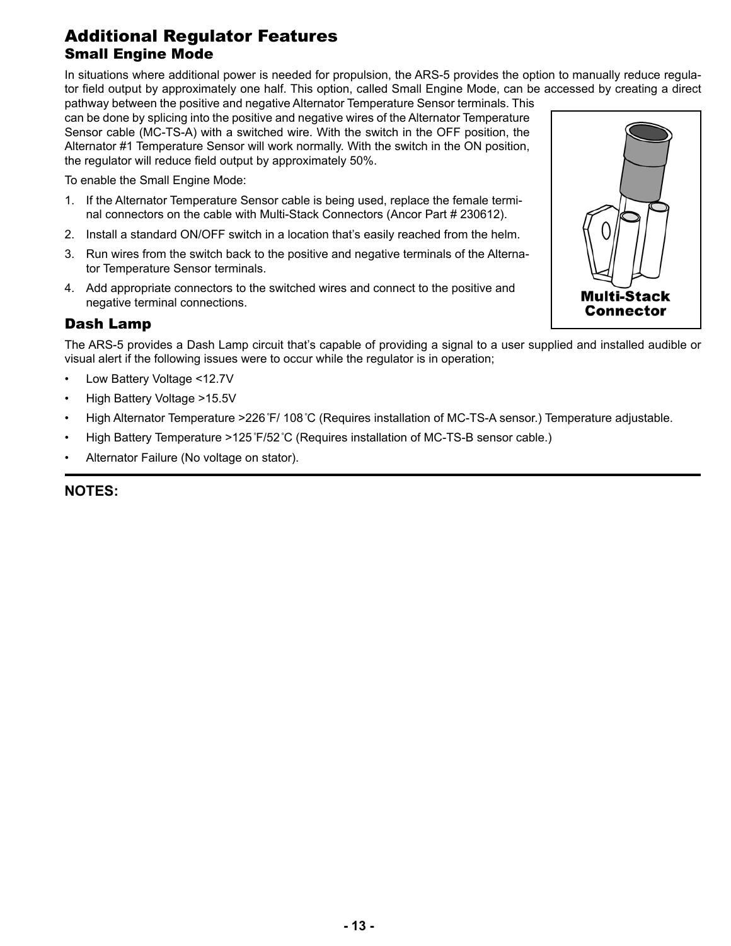## Additional Regulator Features Small Engine Mode

In situations where additional power is needed for propulsion, the ARS-5 provides the option to manually reduce regulator field output by approximately one half. This option, called Small Engine Mode, can be accessed by creating a direct

pathway between the positive and negative Alternator Temperature Sensor terminals. This can be done by splicing into the positive and negative wires of the Alternator Temperature Sensor cable (MC-TS-A) with a switched wire. With the switch in the OFF position, the Alternator #1 Temperature Sensor will work normally. With the switch in the ON position, the regulator will reduce field output by approximately 50%.

To enable the Small Engine Mode:

- 1. If the Alternator Temperature Sensor cable is being used, replace the female terminal connectors on the cable with Multi-Stack Connectors (Ancor Part # 230612).
- 2. Install a standard ON/OFF switch in a location that's easily reached from the helm.
- 3. Run wires from the switch back to the positive and negative terminals of the Alternator Temperature Sensor terminals.
- 4. Add appropriate connectors to the switched wires and connect to the positive and negative terminal connections.

### Dash Lamp

The ARS-5 provides a Dash Lamp circuit that's capable of providing a signal to a user supplied and installed audible or visual alert if the following issues were to occur while the regulator is in operation;

- Low Battery Voltage <12.7V
- High Battery Voltage >15.5V
- High Alternator Temperature >226*˚*F/ 108*˚*C (Requires installation of MC-TS-A sensor.) Temperature adjustable.
- High Battery Temperature >125*˚*F/52*˚*C (Requires installation of MC-TS-B sensor cable.)
- Alternator Failure (No voltage on stator).

#### **NOTES:**

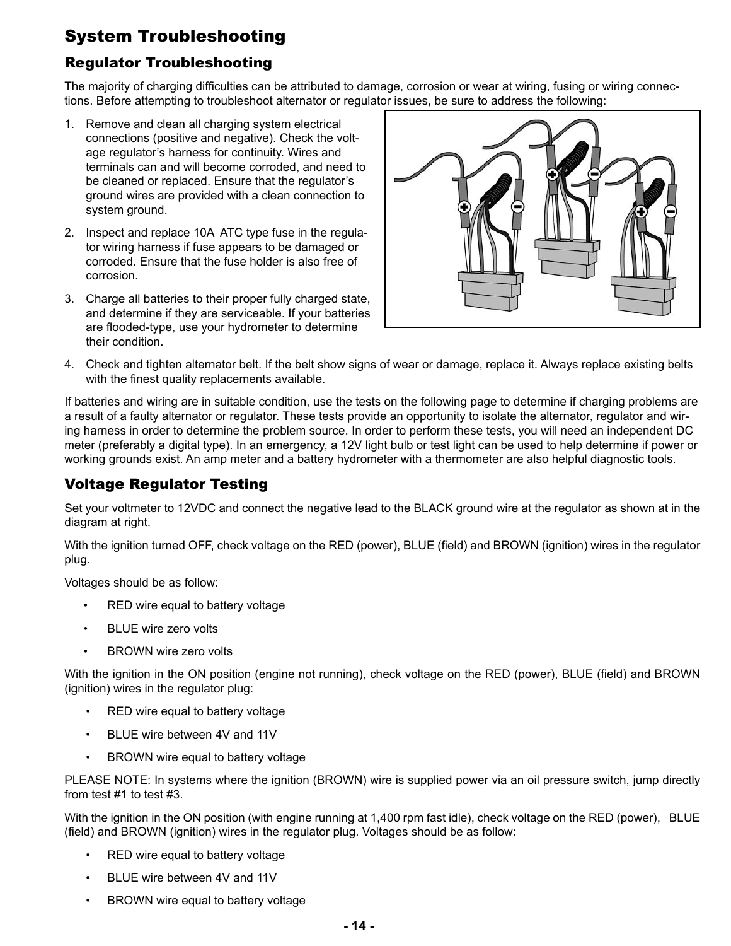# System Troubleshooting

## Regulator Troubleshooting

The majority of charging difficulties can be attributed to damage, corrosion or wear at wiring, fusing or wiring connections. Before attempting to troubleshoot alternator or regulator issues, be sure to address the following:

- 1. Remove and clean all charging system electrical connections (positive and negative). Check the voltage regulator's harness for continuity. Wires and terminals can and will become corroded, and need to be cleaned or replaced. Ensure that the regulator's ground wires are provided with a clean connection to system ground.
- 2. Inspect and replace 10A ATC type fuse in the regulator wiring harness if fuse appears to be damaged or corroded. Ensure that the fuse holder is also free of corrosion.
- 3. Charge all batteries to their proper fully charged state, and determine if they are serviceable. If your batteries are flooded-type, use your hydrometer to determine their condition.



4. Check and tighten alternator belt. If the belt show signs of wear or damage, replace it. Always replace existing belts with the finest quality replacements available.

If batteries and wiring are in suitable condition, use the tests on the following page to determine if charging problems are a result of a faulty alternator or regulator. These tests provide an opportunity to isolate the alternator, regulator and wiring harness in order to determine the problem source. In order to perform these tests, you will need an independent DC meter (preferably a digital type). In an emergency, a 12V light bulb or test light can be used to help determine if power or working grounds exist. An amp meter and a battery hydrometer with a thermometer are also helpful diagnostic tools.

## Voltage Regulator Testing

Set your voltmeter to 12VDC and connect the negative lead to the BLACK ground wire at the regulator as shown at in the diagram at right.

With the ignition turned OFF, check voltage on the RED (power), BLUE (field) and BROWN (ignition) wires in the regulator plug.

Voltages should be as follow:

- RED wire equal to battery voltage
- BLUE wire zero volts
- **BROWN wire zero volts**

With the ignition in the ON position (engine not running), check voltage on the RED (power), BLUE (field) and BROWN (ignition) wires in the regulator plug:

- RED wire equal to battery voltage
- BLUE wire between 4V and 11V
- BROWN wire equal to battery voltage

PLEASE NOTE: In systems where the ignition (BROWN) wire is supplied power via an oil pressure switch, jump directly from test #1 to test #3.

With the ignition in the ON position (with engine running at 1,400 rpm fast idle), check voltage on the RED (power), BLUE (field) and BROWN (ignition) wires in the regulator plug. Voltages should be as follow:

- RED wire equal to battery voltage
- BLUE wire between 4V and 11V
- BROWN wire equal to battery voltage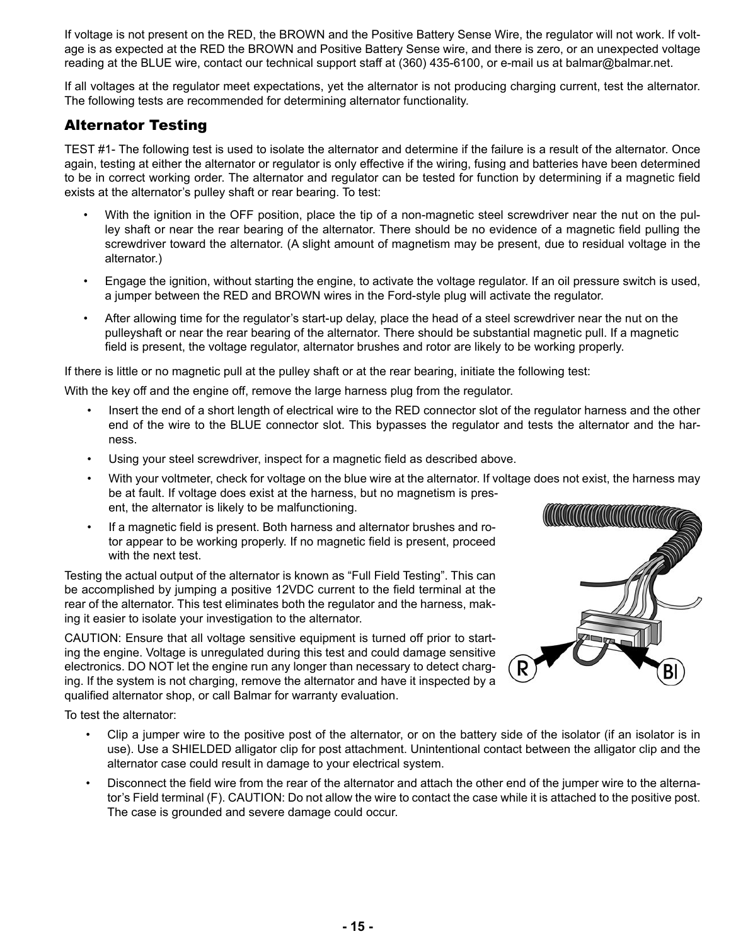If voltage is not present on the RED, the BROWN and the Positive Battery Sense Wire, the regulator will not work. If voltage is as expected at the RED the BROWN and Positive Battery Sense wire, and there is zero, or an unexpected voltage reading at the BLUE wire, contact our technical support staff at (360) 435-6100, or e-mail us at balmar@balmar.net.

If all voltages at the regulator meet expectations, yet the alternator is not producing charging current, test the alternator. The following tests are recommended for determining alternator functionality.

### Alternator Testing

TEST #1- The following test is used to isolate the alternator and determine if the failure is a result of the alternator. Once again, testing at either the alternator or regulator is only effective if the wiring, fusing and batteries have been determined to be in correct working order. The alternator and regulator can be tested for function by determining if a magnetic field exists at the alternator's pulley shaft or rear bearing. To test:

- With the ignition in the OFF position, place the tip of a non-magnetic steel screwdriver near the nut on the pulley shaft or near the rear bearing of the alternator. There should be no evidence of a magnetic field pulling the screwdriver toward the alternator. (A slight amount of magnetism may be present, due to residual voltage in the alternator.)
- Engage the ignition, without starting the engine, to activate the voltage regulator. If an oil pressure switch is used, a jumper between the RED and BROWN wires in the Ford-style plug will activate the regulator.
- After allowing time for the regulator's start-up delay, place the head of a steel screwdriver near the nut on the pulleyshaft or near the rear bearing of the alternator. There should be substantial magnetic pull. If a magnetic field is present, the voltage regulator, alternator brushes and rotor are likely to be working properly.

If there is little or no magnetic pull at the pulley shaft or at the rear bearing, initiate the following test:

With the key off and the engine off, remove the large harness plug from the regulator.

- Insert the end of a short length of electrical wire to the RED connector slot of the regulator harness and the other end of the wire to the BLUE connector slot. This bypasses the regulator and tests the alternator and the harness.
- Using your steel screwdriver, inspect for a magnetic field as described above.
- With your voltmeter, check for voltage on the blue wire at the alternator. If voltage does not exist, the harness may be at fault. If voltage does exist at the harness, but no magnetism is present, the alternator is likely to be malfunctioning.
- If a magnetic field is present. Both harness and alternator brushes and rotor appear to be working properly. If no magnetic field is present, proceed with the next test.

Testing the actual output of the alternator is known as "Full Field Testing". This can be accomplished by jumping a positive 12VDC current to the field terminal at the rear of the alternator. This test eliminates both the regulator and the harness, making it easier to isolate your investigation to the alternator.

CAUTION: Ensure that all voltage sensitive equipment is turned off prior to starting the engine. Voltage is unregulated during this test and could damage sensitive electronics. DO NOT let the engine run any longer than necessary to detect charging. If the system is not charging, remove the alternator and have it inspected by a qualified alternator shop, or call Balmar for warranty evaluation.

To test the alternator:

- Clip a jumper wire to the positive post of the alternator, or on the battery side of the isolator (if an isolator is in use). Use a SHIELDED alligator clip for post attachment. Unintentional contact between the alligator clip and the alternator case could result in damage to your electrical system.
- Disconnect the field wire from the rear of the alternator and attach the other end of the jumper wire to the alternator's Field terminal (F). CAUTION: Do not allow the wire to contact the case while it is attached to the positive post. The case is grounded and severe damage could occur.